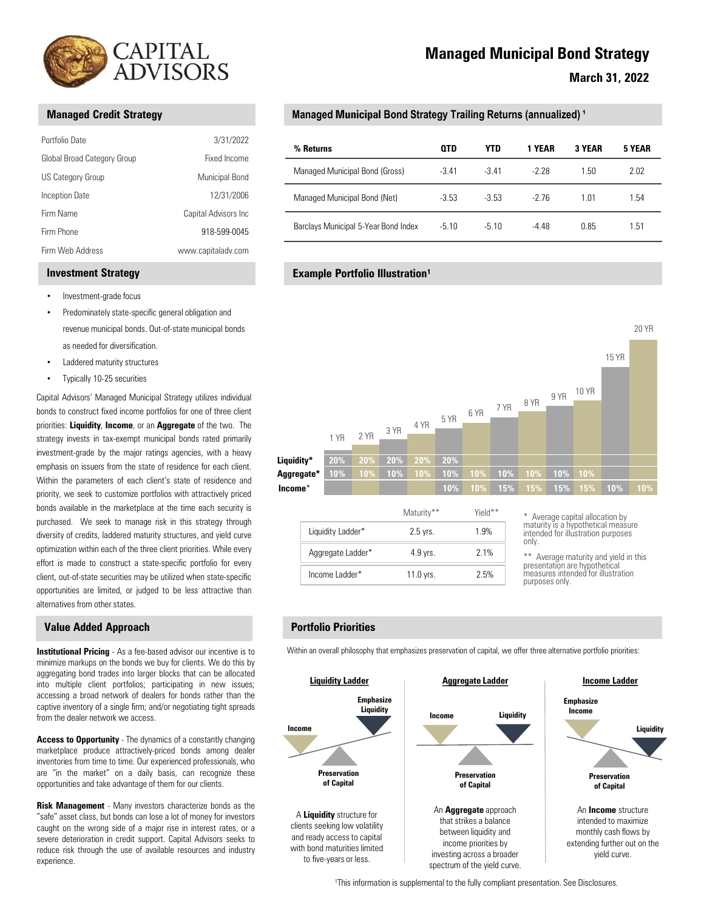

|                                                         | CAPITAL<br><b>ADVISORS</b>           | N                                                 |
|---------------------------------------------------------|--------------------------------------|---------------------------------------------------|
| <b>Managed Credit Strategy</b>                          |                                      | <b>Managed Municipal Bond Strate</b>              |
| Portfolio Date                                          | 3/31/2022                            | % Returns                                         |
| Global Broad Category Group<br><b>US Category Group</b> | Fixed Income<br>Municipal Bond       | Managed Municipal Bond (Gross)                    |
| <b>Inception Date</b>                                   | 12/31/2006                           | Managed Municipal Bond (Net)                      |
| Firm Name<br>Firm Phone                                 | Capital Advisors Inc<br>918-599-0045 | Barclays Municipal 5-Year Bond Index              |
| Firm Web Address                                        | www.capitaladv.com                   |                                                   |
| <b>Investment Strategy</b>                              |                                      | <b>Example Portfolio Illustration<sup>1</sup></b> |
| Investment-grade focus                                  |                                      |                                                   |

### Investment Strategy

- Investment-grade focus
- Predominately state-specific general obligation and revenue municipal bonds. Out-of-state municipal bonds as needed for diversification.
- Laddered maturity structures
- 

• Predominately state-specific general obligation and<br>
revenue municipal borots<br>
as needed for diversification.<br>
• Laddered maturity structures<br>
• Typically 10-25 securities<br>
• Charled Mostos' Managema Municipal Strategy u aggregating bond to excellent the matter of the canonicate of the matter of the canonicate of the canonicate of the canonicate of the canonicate of the canonicate of the canonicate of the canonicate of the canonicate of th Cientic Achiever's Mericular Strategy distance into multiple content the collection of the multiple client of the collection of the multiple content for the collection of the multiple client portfolio Prioritics; participa signal expressive between the accessive steady steady between the accessive of the content of the content of the content of dealers a broad network of dealers for bonds rather than the content of the content of the conten book to consect from income periodic of a single firm; and the single firm; and the second to consect the consect of a single firm; and the second to consect the single firm; and the single firm; and the single firm; and provides: Liquidity, Income, or an Aggregate of the two. The<br>
totals the concernent mumicipal bonds rated primarily<br>
the methods on the side of residence for each client<br>
emphasize from the side of residence for each clien

#### Value Added Approach

experience.

# Managed Municipal Bond Strategy

# Managed Credit Strategy Managed Municipal Bond Strategy Trailing Returns (annualized) 1

| CAPITAL<br>ADVISORS                              |                                    |                                                                                                     |            |            | <b>Managed Municipal Bond Strategy</b> |        |        |  |  |
|--------------------------------------------------|------------------------------------|-----------------------------------------------------------------------------------------------------|------------|------------|----------------------------------------|--------|--------|--|--|
| <b>Managed Credit Strategy</b>                   |                                    | <b>March 31, 2022</b><br>Managed Municipal Bond Strategy Trailing Returns (annualized) <sup>1</sup> |            |            |                                        |        |        |  |  |
| Portfolio Date                                   | 3/31/2022                          | % Returns                                                                                           | <b>QTD</b> | <b>YTD</b> | 1 YEAR                                 | 3 YEAR | 5 YEAR |  |  |
| Global Broad Category Group<br>US Category Group | Fixed Income<br>Municipal Bond     | Managed Municipal Bond (Gross)                                                                      | $-3.41$    | $-3.41$    | $-2.28$                                | 1.50   | 2.02   |  |  |
| Inception Date                                   | 12/31/2006                         | Managed Municipal Bond (Net)                                                                        | $-3.53$    | $-3.53$    | $-2.76$                                | 1.01   | 1.54   |  |  |
| Firm Name                                        | Capital Advisors Inc               |                                                                                                     |            |            |                                        |        |        |  |  |
|                                                  | 918-599-0045<br>www.capitaladv.com | Barclays Municipal 5-Year Bond Index                                                                | $-5.10$    | $-5.10$    | $-4.48$                                | 0.85   | 1.51   |  |  |
| Firm Phone<br>Firm Web Address                   |                                    |                                                                                                     |            |            |                                        |        |        |  |  |

## **Example Portfolio Illustration<sup>1</sup>**



|                   | Maturity**  | Yield** |                                                                                                                      |
|-------------------|-------------|---------|----------------------------------------------------------------------------------------------------------------------|
| Liquidity Ladder* | $2.5$ vrs.  | 1.9%    | * Average capital allocation by<br>maturity is a hypothetical measure<br>intended for illustration purposes<br>only. |
| Aggregate Ladder* | $4.9$ vrs.  | 2.1%    | ** Average maturity and yield in this                                                                                |
| Income Ladder*    | $11.0$ vrs. | 2.5%    | presentation are hypothetical<br>measures intended for illustration<br>nurnases only                                 |

purposes only. \*\* Average maturity and yield in this

### Portfolio Priorities

Within an overall philosophy that emphasizes preservation of capital, we offer three alternative portfolio priorities:



<sup>1</sup>This information is supplemental to the fully compliant presentation. See Disclosures.